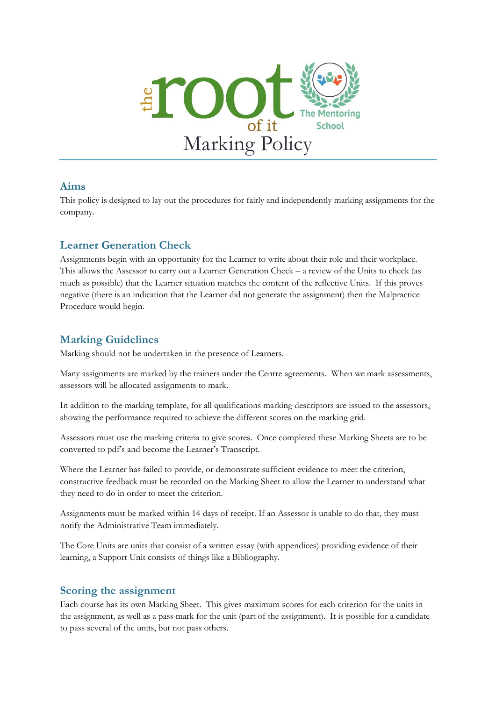

### **Aims**

This policy is designed to lay out the procedures for fairly and independently marking assignments for the company.

# **Learner Generation Check**

Assignments begin with an opportunity for the Learner to write about their role and their workplace. This allows the Assessor to carry out a Learner Generation Check – a review of the Units to check (as much as possible) that the Learner situation matches the content of the reflective Units. If this proves negative (there is an indication that the Learner did not generate the assignment) then the Malpractice Procedure would begin.

## **Marking Guidelines**

Marking should not be undertaken in the presence of Learners.

Many assignments are marked by the trainers under the Centre agreements. When we mark assessments, assessors will be allocated assignments to mark.

In addition to the marking template, for all qualifications marking descriptors are issued to the assessors, showing the performance required to achieve the different scores on the marking grid.

Assessors must use the marking criteria to give scores. Once completed these Marking Sheets are to be converted to pdf's and become the Learner's Transcript.

Where the Learner has failed to provide, or demonstrate sufficient evidence to meet the criterion, constructive feedback must be recorded on the Marking Sheet to allow the Learner to understand what they need to do in order to meet the criterion.

Assignments must be marked within 14 days of receipt. If an Assessor is unable to do that, they must notify the Administrative Team immediately.

The Core Units are units that consist of a written essay (with appendices) providing evidence of their learning, a Support Unit consists of things like a Bibliography.

### **Scoring the assignment**

Each course has its own Marking Sheet. This gives maximum scores for each criterion for the units in the assignment, as well as a pass mark for the unit (part of the assignment). It is possible for a candidate to pass several of the units, but not pass others.